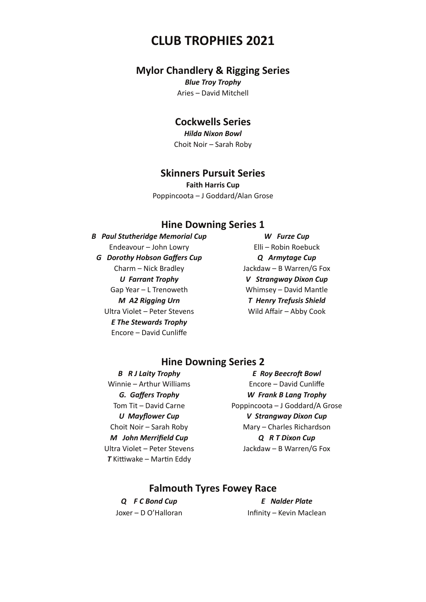## **CLUB TROPHIES 2021**

#### **Mylor Chandlery & Rigging Series**

*Blue Troy Trophy*  Aries – David Mitchell

## **Cockwells Series**

*Hilda Nixon Bowl* Choit Noir – Sarah Roby

#### **Skinners Pursuit Series**

**Faith Harris Cup**  Poppincoota – J Goddard/Alan Grose

#### **Hine Downing Series 1**

 *B Paul Stutheridge Memorial Cup W Furze Cup*  Endeavour – John Lowry Elli – Robin Roebuck  *G Dorothy Hobson Gaffers Cup Q Armytage Cup* Charm – Nick Bradley **Jackdaw – B Warren/G Fox** Gap Year – L Trenoweth Whimsey – David Mantle *M A2 Rigging Urn* T Henry Trefusis Shield Ultra Violet – Peter Stevens Wild Affair – Abby Cook  *E The Stewards Trophy* Encore – David Cunliffe

 *U Farrant Trophy V Strangway Dixon Cup* 

#### **Hine Downing Series 2**

*T* Kittiwake – Martin Eddy

 *B R J Laity Trophy E Roy Beecroft Bowl*  Winnie – Arthur Williams **Encore – David Cunliffe**  *G. Gaffers Trophy W Frank B Lang Trophy*  Tom Tit – David Carne Poppincoota – J Goddard/A Grose  *U Mayflower Cup V Strangway Dixon Cup*  Choit Noir – Sarah Roby Mary – Charles Richardson  *M John Merrifield Cup Q R T Dixon Cup*  Ultra Violet – Peter Stevens Jackdaw – B Warren/G Fox

#### **Falmouth Tyres Fowey Race**

 *Q F C Bond Cup E Nalder Plate*  Joxer – D O'Halloran Infinity – Kevin Maclean